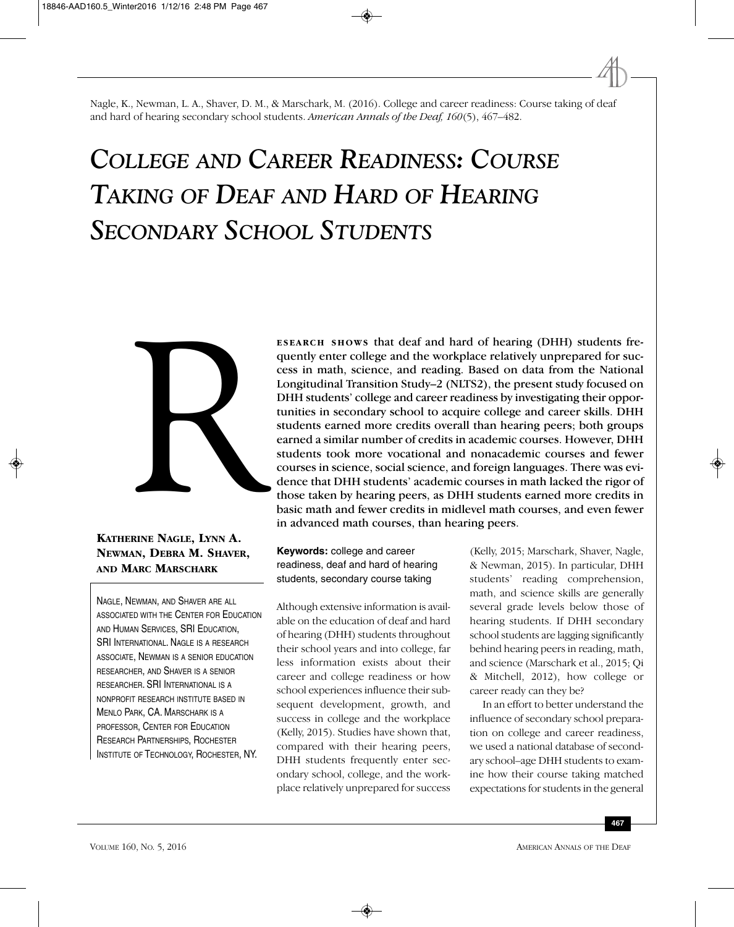Nagle, K., Newman, L. A., Shaver, D. M., & Marschark, M. (2016). College and career readiness: Course taking of deaf and hard of hearing secondary school students. *American Annals of the Deaf, 160*(5), 467–482.

# *COLLEGE AND CAREER READINESS: COURSE TAKING OF DEAF AND HARD OF HEARING SECONDARY SCHOOL STUDENTS*



**KATHERINE NAGLE, LYNN A. NEWMAN, DEBRA M. SHAVER, AND MARC MARSCHARK**

NAGLE, NEWMAN, AND SHAVER ARE ALL ASSOCIATED WITH THE CENTER FOR EDUCATION AND HUMAN SERVICES, SRI EDUCATION, SRI INTERNATIONAL. NAGLE IS A RESEARCH ASSOCIATE, NEWMAN IS A SENIOR EDUCATION RESEARCHER, AND SHAVER IS A SENIOR RESEARCHER. SRI INTERNATIONAL IS A NONPROFIT RESEARCH INSTITUTE BASED IN MENLO PARK, CA.MARSCHARK IS A PROFESSOR, CENTER FOR EDUCATION RESEARCH PARTNERSHIPS, ROCHESTER INSTITUTE OF TECHNOLOGY, ROCHESTER, NY.

**ESEARCH SHOWS** that deaf and hard of hearing (DHH) students frequently enter college and the workplace relatively unprepared for success in math, science, and reading. Based on data from the National Longitudinal Transition Study–2 (NLTS2), the present study focused on DHH students' college and career readiness by investigating their opportunities in secondary school to acquire college and career skills. DHH students earned more credits overall than hearing peers; both groups earned a similar number of credits in academic courses. However, DHH students took more vocational and nonacademic courses and fewer courses in science, social science, and foreign languages. There was evidence that DHH students' academic courses in math lacked the rigor of those taken by hearing peers, as DHH students earned more credits in basic math and fewer credits in midlevel math courses, and even fewer in advanced math courses, than hearing peers.

**Keywords:** college and career readiness, deaf and hard of hearing students, secondary course taking

Although extensive information is available on the education of deaf and hard of hearing (DHH) students throughout their school years and into college, far less information exists about their career and college readiness or how school experiences influence their subsequent development, growth, and success in college and the workplace (Kelly, 2015). Studies have shown that, compared with their hearing peers, DHH students frequently enter secondary school, college, and the workplace relatively unprepared for success

(Kelly, 2015; Marschark, Shaver, Nagle, & Newman, 2015). In particular, DHH students' reading comprehension, math, and science skills are generally several grade levels below those of hearing students. If DHH secondary school students are lagging significantly behind hearing peers in reading, math, and science (Marschark et al., 2015; Qi & Mitchell, 2012), how college or career ready can they be?

In an effort to better understand the influence of secondary school preparation on college and career readiness, we used a national database of secondary school–age DHH students to examine how their course taking matched expectations for students in the general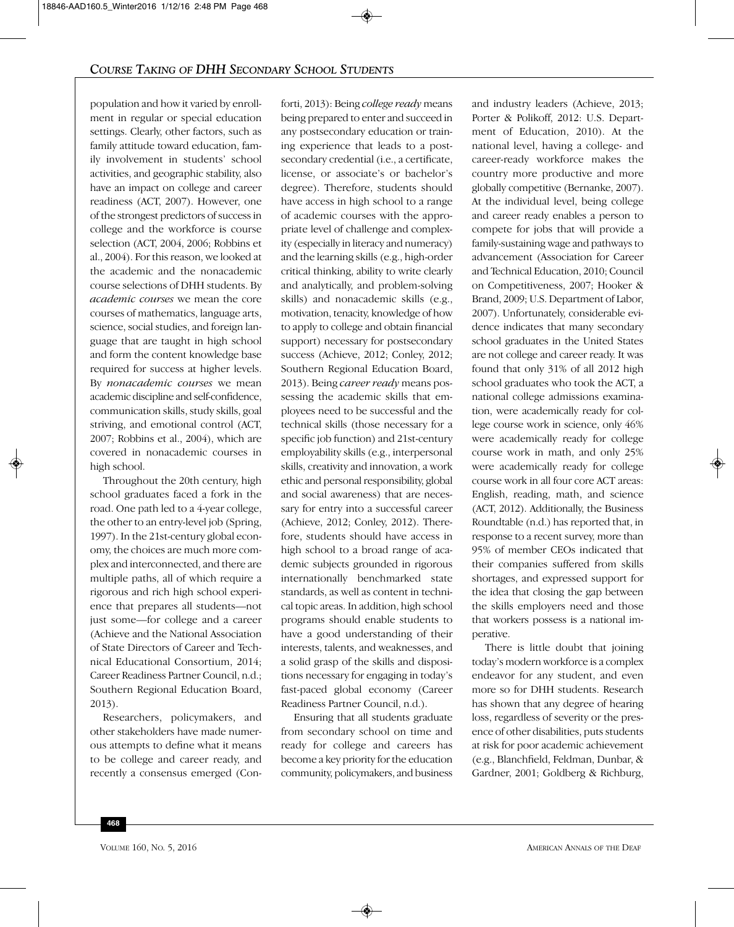population and how it varied by enrollment in regular or special education settings. Clearly, other factors, such as family attitude toward education, family involvement in students' school activities, and geographic stability, also have an impact on college and career readiness (ACT, 2007). However, one of the strongest predictors of success in college and the workforce is course selection (ACT, 2004, 2006; Robbins et al., 2004). For this reason, we looked at the academic and the nonacademic course selections of DHH students. By *academic courses* we mean the core courses of mathematics, language arts, science, social studies, and foreign language that are taught in high school and form the content knowledge base required for success at higher levels. By *nonacademic courses* we mean academic discipline and self-confidence, communication skills, study skills, goal striving, and emotional control (ACT, 2007; Robbins et al., 2004), which are covered in nonacademic courses in high school.

Throughout the 20th century, high school graduates faced a fork in the road. One path led to a 4-year college, the other to an entry-level job (Spring, 1997). In the 21st-century global economy, the choices are much more complex and interconnected, and there are multiple paths, all of which require a rigorous and rich high school experience that prepares all students—not just some—for college and a career (Achieve and the National Association of State Directors of Career and Technical Educational Consortium, 2014; Career Readiness Partner Council, n.d.; Southern Regional Education Board, 2013).

Researchers, policymakers, and other stakeholders have made numerous attempts to define what it means to be college and career ready, and recently a consensus emerged (Conforti, 2013): Being *college ready* means being prepared to enter and succeed in any postsecondary education or training experience that leads to a postsecondary credential (i.e., a certificate, license, or associate's or bachelor's degree). Therefore, students should have access in high school to a range of academic courses with the appropriate level of challenge and complexity (especially in literacy and numeracy) and the learning skills (e.g., high-order critical thinking, ability to write clearly and analytically, and problem-solving skills) and nonacademic skills (e.g., motivation, tenacity, knowledge of how to apply to college and obtain financial support) necessary for postsecondary success (Achieve, 2012; Conley, 2012; Southern Regional Education Board, 2013). Being *career ready* means possessing the academic skills that employees need to be successful and the technical skills (those necessary for a specific job function) and 21st-century employability skills (e.g., interpersonal skills, creativity and innovation, a work ethic and personal responsibility, global and social awareness) that are necessary for entry into a successful career (Achieve, 2012; Conley, 2012). Therefore, students should have access in high school to a broad range of academic subjects grounded in rigorous internationally benchmarked state standards, as well as content in technical topic areas. In addition, high school programs should enable students to have a good understanding of their interests, talents, and weaknesses, and a solid grasp of the skills and dispositions necessary for engaging in today's fast-paced global economy (Career Readiness Partner Council, n.d.).

Ensuring that all students graduate from secondary school on time and ready for college and careers has become a key priority for the education community, policymakers, and business and industry leaders (Achieve, 2013; Porter & Polikoff, 2012: U.S. Department of Education, 2010). At the national level, having a college- and career-ready workforce makes the country more productive and more globally competitive (Bernanke, 2007). At the individual level, being college and career ready enables a person to compete for jobs that will provide a family-sustaining wage and pathways to advancement (Association for Career and Technical Education, 2010; Council on Competitiveness, 2007; Hooker & Brand, 2009; U.S. Department of Labor, 2007). Unfortunately, considerable evidence indicates that many secondary school graduates in the United States are not college and career ready. It was found that only 31% of all 2012 high school graduates who took the ACT, a national college admissions examination, were academically ready for college course work in science, only 46% were academically ready for college course work in math, and only 25% were academically ready for college course work in all four core ACT areas: English, reading, math, and science (ACT, 2012). Additionally, the Business Roundtable (n.d.) has reported that, in response to a recent survey, more than 95% of member CEOs indicated that their companies suffered from skills shortages, and expressed support for the idea that closing the gap between the skills employers need and those that workers possess is a national imperative.

There is little doubt that joining today's modern workforce is a complex endeavor for any student, and even more so for DHH students. Research has shown that any degree of hearing loss, regardless of severity or the presence of other disabilities, puts students at risk for poor academic achievement (e.g., Blanchfield, Feldman, Dunbar, & Gardner, 2001; Goldberg & Richburg,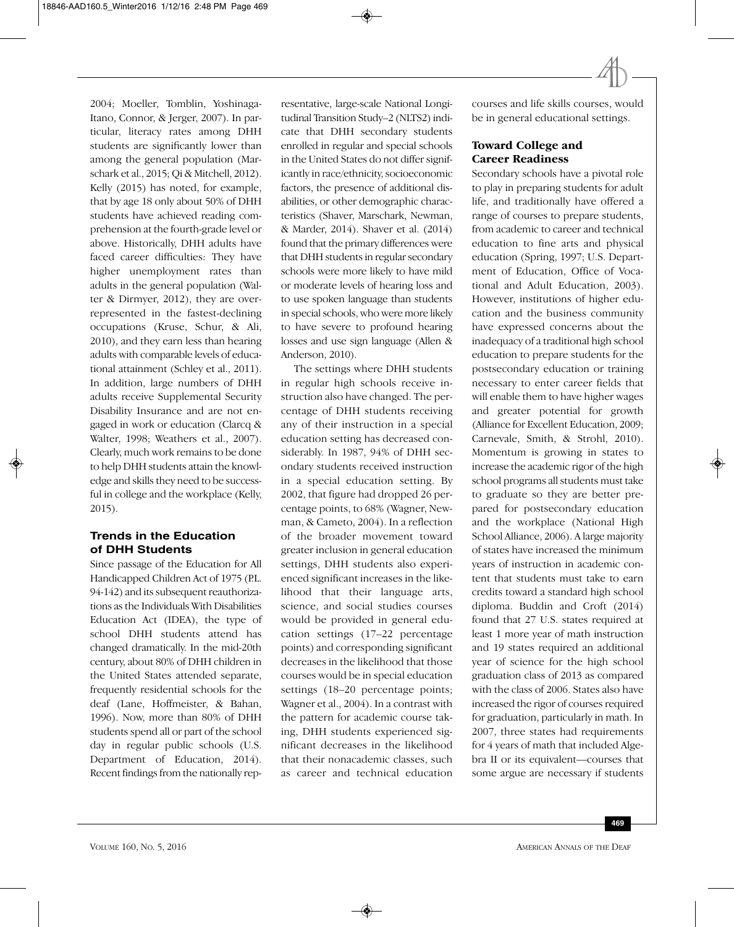2004; Moeller, Tomblin, Yoshinaga-Itano, Connor, & Jerger, 2007). In particular, literacy rates among DHH students are significantly lower than among the general population (Marschark et al., 2015; Qi & Mitchell, 2012). Kelly (2015) has noted, for example, that by age 18 only about 50% of DHH students have achieved reading comprehension at the fourth-grade level or above. Historically, DHH adults have faced career difficulties: They have higher unemployment rates than adults in the general population (Walter & Dirmyer, 2012), they are overrepresented in the fastest-declining occupations (Kruse, Schur, & Ali, 2010), and they earn less than hearing adults with comparable levels of educational attainment (Schley et al., 2011). In addition, large numbers of DHH adults receive Supplemental Security Disability Insurance and are not engaged in work or education (Clarcq & Walter, 1998; Weathers et al., 2007). Clearly, much work remains to be done to help DHH students attain the knowledge and skills they need to be successful in college and the workplace (Kelly, 2015).

## **Trends in the Education of DHH Students**

Since passage of the Education for All Handicapped Children Act of 1975 (P.L. 94-142) and its subsequent reauthorizations as the Individuals With Disabilities Education Act (IDEA), the type of school DHH students attend has changed dramatically. In the mid-20th century, about 80% of DHH children in the United States attended separate, frequently residential schools for the deaf (Lane, Hoffmeister, & Bahan, 1996). Now, more than 80% of DHH students spend all or part of the school day in regular public schools (U.S. Department of Education, 2014). Recent findings from the nationally representative, large-scale National Longitudinal Transition Study–2 (NLTS2) indicate that DHH secondary students enrolled in regular and special schools in the United States do not differ significantly in race/ethnicity, socioeconomic factors, the presence of additional disabilities, or other demographic characteristics (Shaver, Marschark, Newman, & Marder, 2014). Shaver et al. (2014) found that the primary differences were that DHH students in regular secondary schools were more likely to have mild or moderate levels of hearing loss and to use spoken language than students in special schools, who were more likely to have severe to profound hearing losses and use sign language (Allen & Anderson, 2010).

The settings where DHH students in regular high schools receive instruction also have changed. The percentage of DHH students receiving any of their instruction in a special education setting has decreased considerably. In 1987, 94% of DHH secondary students received instruction in a special education setting. By 2002, that figure had dropped 26 percentage points, to 68% (Wagner, Newman, & Cameto, 2004). In a reflection of the broader movement toward greater inclusion in general education settings, DHH students also experienced significant increases in the likelihood that their language arts, science, and social studies courses would be provided in general education settings (17–22 percentage points) and corresponding significant decreases in the likelihood that those courses would be in special education settings (18–20 percentage points; Wagner et al., 2004). In a contrast with the pattern for academic course taking, DHH students experienced significant decreases in the likelihood that their nonacademic classes, such as career and technical education courses and life skills courses, would be in general educational settings.

# **Toward College and Career Readiness**

Secondary schools have a pivotal role to play in preparing students for adult life, and traditionally have offered a range of courses to prepare students, from academic to career and technical education to fine arts and physical education (Spring, 1997; U.S. Department of Education, Office of Vocational and Adult Education, 2003). However, institutions of higher education and the business community have expressed concerns about the inadequacy of a traditional high school education to prepare students for the postsecondary education or training necessary to enter career fields that will enable them to have higher wages and greater potential for growth (Alliance for Excellent Education, 2009; Carnevale, Smith, & Strohl, 2010). Momentum is growing in states to increase the academic rigor of the high school programs all students must take to graduate so they are better prepared for postsecondary education and the workplace (National High School Alliance, 2006). A large majority of states have increased the minimum years of instruction in academic content that students must take to earn credits toward a standard high school diploma. Buddin and Croft (2014) found that 27 U.S. states required at least 1 more year of math instruction and 19 states required an additional year of science for the high school graduation class of 2013 as compared with the class of 2006. States also have increased the rigor of courses required for graduation, particularly in math. In 2007, three states had requirements for 4 years of math that included Algebra II or its equivalent—courses that some argue are necessary if students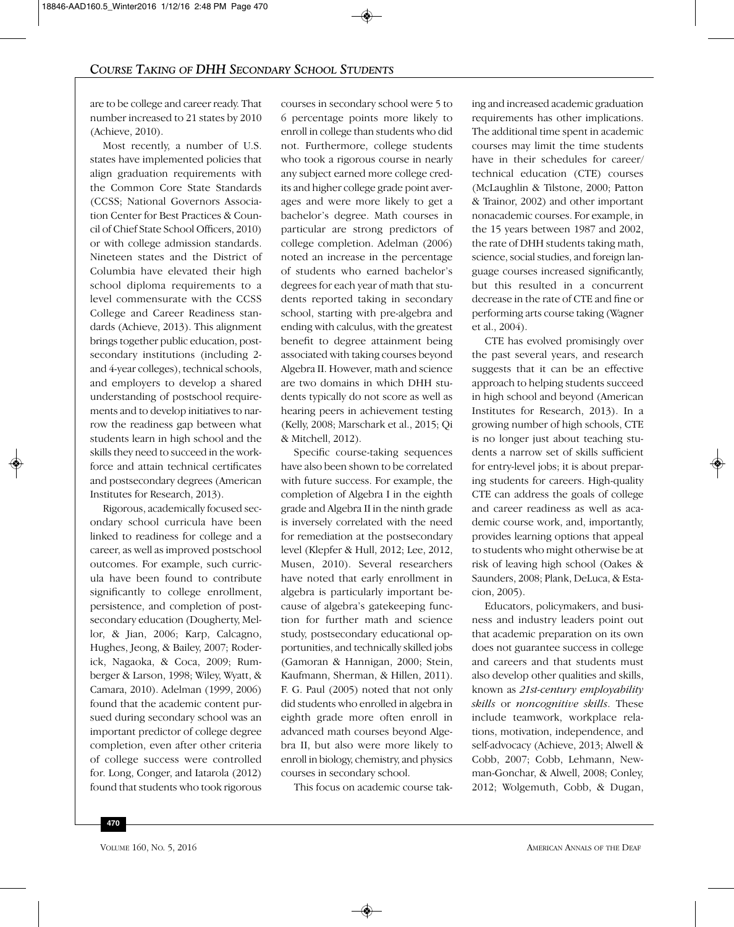are to be college and career ready. That number increased to 21 states by 2010 (Achieve, 2010).

Most recently, a number of U.S. states have implemented policies that align graduation requirements with the Common Core State Standards (CCSS; National Governors Association Center for Best Practices & Council of Chief State School Officers, 2010) or with college admission standards. Nineteen states and the District of Columbia have elevated their high school diploma requirements to a level commensurate with the CCSS College and Career Readiness standards (Achieve, 2013). This alignment brings together public education, postsecondary institutions (including 2 and 4-year colleges), technical schools, and employers to develop a shared understanding of postschool requirements and to develop initiatives to narrow the readiness gap between what students learn in high school and the skills they need to succeed in the workforce and attain technical certificates and postsecondary degrees (American Institutes for Research, 2013).

Rigorous, academically focused secondary school curricula have been linked to readiness for college and a career, as well as improved postschool outcomes. For example, such curricula have been found to contribute significantly to college enrollment, persistence, and completion of postsecondary education (Dougherty, Mellor, & Jian, 2006; Karp, Calcagno, Hughes, Jeong, & Bailey, 2007; Roderick, Nagaoka, & Coca, 2009; Rumberger & Larson, 1998; Wiley, Wyatt, & Camara, 2010). Adelman (1999, 2006) found that the academic content pursued during secondary school was an important predictor of college degree completion, even after other criteria of college success were controlled for. Long, Conger, and Iatarola (2012) found that students who took rigorous

courses in secondary school were 5 to 6 percentage points more likely to enroll in college than students who did not. Furthermore, college students who took a rigorous course in nearly any subject earned more college credits and higher college grade point averages and were more likely to get a bachelor's degree. Math courses in particular are strong predictors of college completion. Adelman (2006) noted an increase in the percentage of students who earned bachelor's degrees for each year of math that students reported taking in secondary school, starting with pre-algebra and ending with calculus, with the greatest benefit to degree attainment being associated with taking courses beyond Algebra II. However, math and science are two domains in which DHH students typically do not score as well as hearing peers in achievement testing (Kelly, 2008; Marschark et al., 2015; Qi & Mitchell, 2012).

Specific course-taking sequences have also been shown to be correlated with future success. For example, the completion of Algebra I in the eighth grade and Algebra II in the ninth grade is inversely correlated with the need for remediation at the postsecondary level (Klepfer & Hull, 2012; Lee, 2012, Musen, 2010). Several researchers have noted that early enrollment in algebra is particularly important because of algebra's gatekeeping function for further math and science study, postsecondary educational opportunities, and technically skilled jobs (Gamoran & Hannigan, 2000; Stein, Kaufmann, Sherman, & Hillen, 2011). F. G. Paul (2005) noted that not only did students who enrolled in algebra in eighth grade more often enroll in advanced math courses beyond Algebra II, but also were more likely to enroll in biology, chemistry, and physics courses in secondary school.

This focus on academic course tak-

ing and increased academic graduation requirements has other implications. The additional time spent in academic courses may limit the time students have in their schedules for career/ technical education (CTE) courses (McLaughlin & Tilstone, 2000; Patton & Trainor, 2002) and other important nonacademic courses. For example, in the 15 years between 1987 and 2002, the rate of DHH students taking math, science, social studies, and foreign language courses increased significantly, but this resulted in a concurrent decrease in the rate of CTE and fine or performing arts course taking (Wagner et al., 2004).

CTE has evolved promisingly over the past several years, and research suggests that it can be an effective approach to helping students succeed in high school and beyond (American Institutes for Research, 2013). In a growing number of high schools, CTE is no longer just about teaching students a narrow set of skills sufficient for entry-level jobs; it is about preparing students for careers. High-quality CTE can address the goals of college and career readiness as well as academic course work, and, importantly, provides learning options that appeal to students who might otherwise be at risk of leaving high school (Oakes & Saunders, 2008; Plank, DeLuca, & Estacion, 2005).

Educators, policymakers, and business and industry leaders point out that academic preparation on its own does not guarantee success in college and careers and that students must also develop other qualities and skills, known as *21st-century employability skills* or *noncognitive skills*. These include teamwork, workplace relations, motivation, independence, and self-advocacy (Achieve, 2013; Alwell & Cobb, 2007; Cobb, Lehmann, Newman-Gonchar, & Alwell, 2008; Conley, 2012; Wolgemuth, Cobb, & Dugan,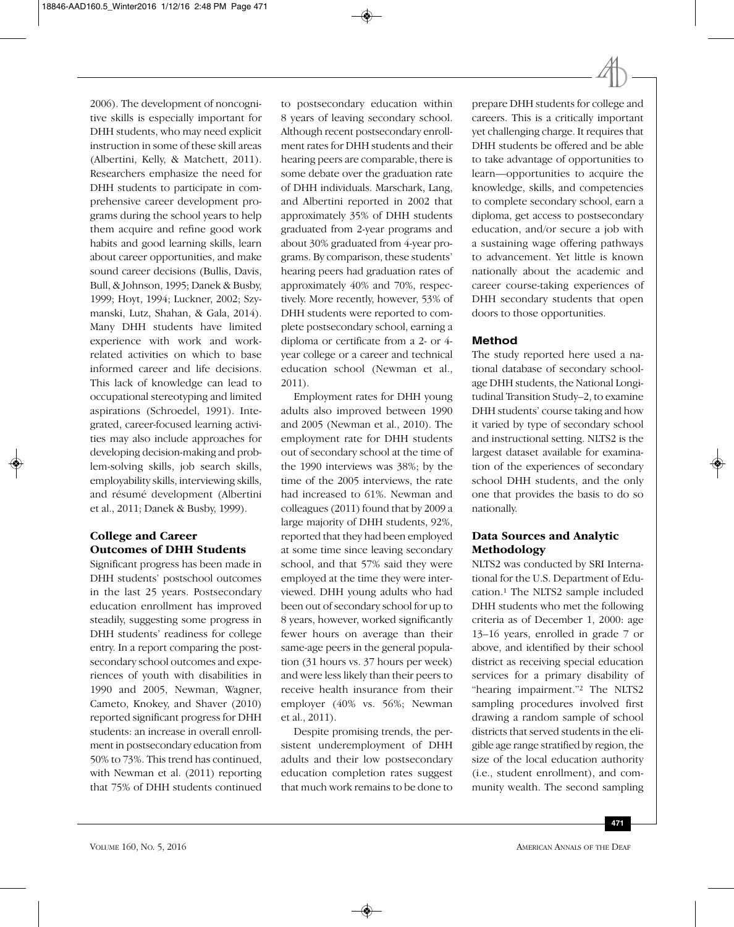2006). The development of noncognitive skills is especially important for DHH students, who may need explicit instruction in some of these skill areas (Albertini, Kelly, & Matchett, 2011). Researchers emphasize the need for DHH students to participate in comprehensive career development programs during the school years to help them acquire and refine good work habits and good learning skills, learn about career opportunities, and make sound career decisions (Bullis, Davis, Bull, & Johnson, 1995; Danek & Busby, 1999; Hoyt, 1994; Luckner, 2002; Szymanski, Lutz, Shahan, & Gala, 2014). Many DHH students have limited experience with work and workrelated activities on which to base informed career and life decisions. This lack of knowledge can lead to occupational stereotyping and limited aspirations (Schroedel, 1991). Integrated, career-focused learning activities may also include approaches for developing decision-making and problem-solving skills, job search skills, employability skills, interviewing skills, and résumé development (Albertini et al., 2011; Danek & Busby, 1999).

# **College and Career Outcomes of DHH Students**

Significant progress has been made in DHH students' postschool outcomes in the last 25 years. Postsecondary education enrollment has improved steadily, suggesting some progress in DHH students' readiness for college entry. In a report comparing the postsecondary school outcomes and experiences of youth with disabilities in 1990 and 2005, Newman, Wagner, Cameto, Knokey, and Shaver (2010) reported significant progress for DHH students: an increase in overall enrollment in postsecondary education from 50% to 73%. This trend has continued, with Newman et al. (2011) reporting that 75% of DHH students continued

to postsecondary education within 8 years of leaving secondary school. Although recent postsecondary enrollment rates for DHH students and their hearing peers are comparable, there is some debate over the graduation rate of DHH individuals. Marschark, Lang, and Albertini reported in 2002 that approximately 35% of DHH students graduated from 2-year programs and about 30% graduated from 4-year programs. By comparison, these students' hearing peers had graduation rates of approximately 40% and 70%, respectively. More recently, however, 53% of DHH students were reported to complete postsecondary school, earning a diploma or certificate from a 2- or 4 year college or a career and technical education school (Newman et al., 2011).

Employment rates for DHH young adults also improved between 1990 and 2005 (Newman et al., 2010). The employment rate for DHH students out of secondary school at the time of the 1990 interviews was 38%; by the time of the 2005 interviews, the rate had increased to 61%. Newman and colleagues (2011) found that by 2009 a large majority of DHH students, 92%, reported that they had been employed at some time since leaving secondary school, and that 57% said they were employed at the time they were interviewed. DHH young adults who had been out of secondary school for up to 8 years, however, worked significantly fewer hours on average than their same-age peers in the general population (31 hours vs. 37 hours per week) and were less likely than their peers to receive health insurance from their employer (40% vs. 56%; Newman et al., 2011).

Despite promising trends, the persistent underemployment of DHH adults and their low postsecondary education completion rates suggest that much work remains to be done to prepare DHH students for college and careers. This is a critically important yet challenging charge. It requires that DHH students be offered and be able to take advantage of opportunities to learn—opportunities to acquire the knowledge, skills, and competencies to complete secondary school, earn a diploma, get access to postsecondary education, and/or secure a job with a sustaining wage offering pathways to advancement. Yet little is known nationally about the academic and career course-taking experiences of DHH secondary students that open doors to those opportunities.

# **Method**

The study reported here used a national database of secondary schoolage DHH students, the National Longitudinal Transition Study–2, to examine DHH students' course taking and how it varied by type of secondary school and instructional setting. NLTS2 is the largest dataset available for examination of the experiences of secondary school DHH students, and the only one that provides the basis to do so nationally.

# **Data Sources and Analytic Methodology**

NLTS2 was conducted by SRI International for the U.S. Department of Education.1 The NLTS2 sample included DHH students who met the following criteria as of December 1, 2000: age 13–16 years, enrolled in grade 7 or above, and identified by their school district as receiving special education services for a primary disability of "hearing impairment."2 The NLTS2 sampling procedures involved first drawing a random sample of school districts that served students in the eligible age range stratified by region, the size of the local education authority (i.e., student enrollment), and community wealth. The second sampling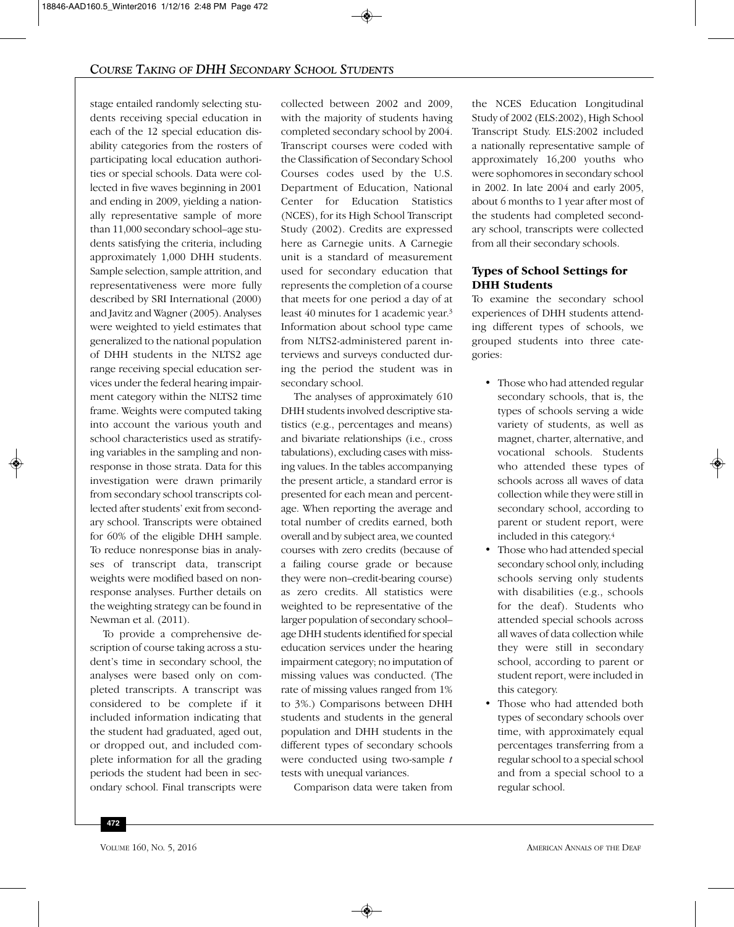stage entailed randomly selecting students receiving special education in each of the 12 special education disability categories from the rosters of participating local education authorities or special schools. Data were collected in five waves beginning in 2001 and ending in 2009, yielding a nationally representative sample of more than 11,000 secondary school–age students satisfying the criteria, including approximately 1,000 DHH students. Sample selection, sample attrition, and representativeness were more fully described by SRI International (2000) and Javitz and Wagner (2005). Analyses were weighted to yield estimates that generalized to the national population of DHH students in the NLTS2 age range receiving special education services under the federal hearing impairment category within the NLTS2 time frame. Weights were computed taking into account the various youth and school characteristics used as stratifying variables in the sampling and nonresponse in those strata. Data for this investigation were drawn primarily from secondary school transcripts collected after students' exit from secondary school. Transcripts were obtained for 60% of the eligible DHH sample. To reduce nonresponse bias in analyses of transcript data, transcript weights were modified based on nonresponse analyses. Further details on the weighting strategy can be found in Newman et al. (2011).

To provide a comprehensive description of course taking across a student's time in secondary school, the analyses were based only on completed transcripts. A transcript was considered to be complete if it included information indicating that the student had graduated, aged out, or dropped out, and included complete information for all the grading periods the student had been in secondary school. Final transcripts were collected between 2002 and 2009, with the majority of students having completed secondary school by 2004. Transcript courses were coded with the Classification of Secondary School Courses codes used by the U.S. Department of Education, National Center for Education Statistics (NCES), for its High School Transcript Study (2002). Credits are expressed here as Carnegie units. A Carnegie unit is a standard of measurement used for secondary education that represents the completion of a course that meets for one period a day of at least 40 minutes for 1 academic year.3 Information about school type came from NLTS2-administered parent interviews and surveys conducted during the period the student was in secondary school.

The analyses of approximately 610 DHH students involved descriptive statistics (e.g., percentages and means) and bivariate relationships (i.e., cross tabulations), excluding cases with missing values. In the tables accompanying the present article, a standard error is presented for each mean and percentage. When reporting the average and total number of credits earned, both overall and by subject area, we counted courses with zero credits (because of a failing course grade or because they were non–credit-bearing course) as zero credits. All statistics were weighted to be representative of the larger population of secondary school– age DHH students identified for special education services under the hearing impairment category; no imputation of missing values was conducted. (The rate of missing values ranged from 1% to 3%.) Comparisons between DHH students and students in the general population and DHH students in the different types of secondary schools were conducted using two-sample *t* tests with unequal variances.

Comparison data were taken from

the NCES Education Longitudinal Study of 2002 (ELS:2002), High School Transcript Study. ELS:2002 included a nationally representative sample of approximately 16,200 youths who were sophomores in secondary school in 2002. In late 2004 and early 2005, about 6 months to 1 year after most of the students had completed secondary school, transcripts were collected from all their secondary schools.

## **Types of School Settings for DHH Students**

To examine the secondary school experiences of DHH students attending different types of schools, we grouped students into three categories:

- Those who had attended regular secondary schools, that is, the types of schools serving a wide variety of students, as well as magnet, charter, alternative, and vocational schools. Students who attended these types of schools across all waves of data collection while they were still in secondary school, according to parent or student report, were included in this category.4
- Those who had attended special secondary school only, including schools serving only students with disabilities (e.g., schools for the deaf). Students who attended special schools across all waves of data collection while they were still in secondary school, according to parent or student report, were included in this category.
- Those who had attended both types of secondary schools over time, with approximately equal percentages transferring from a regular school to a special school and from a special school to a regular school.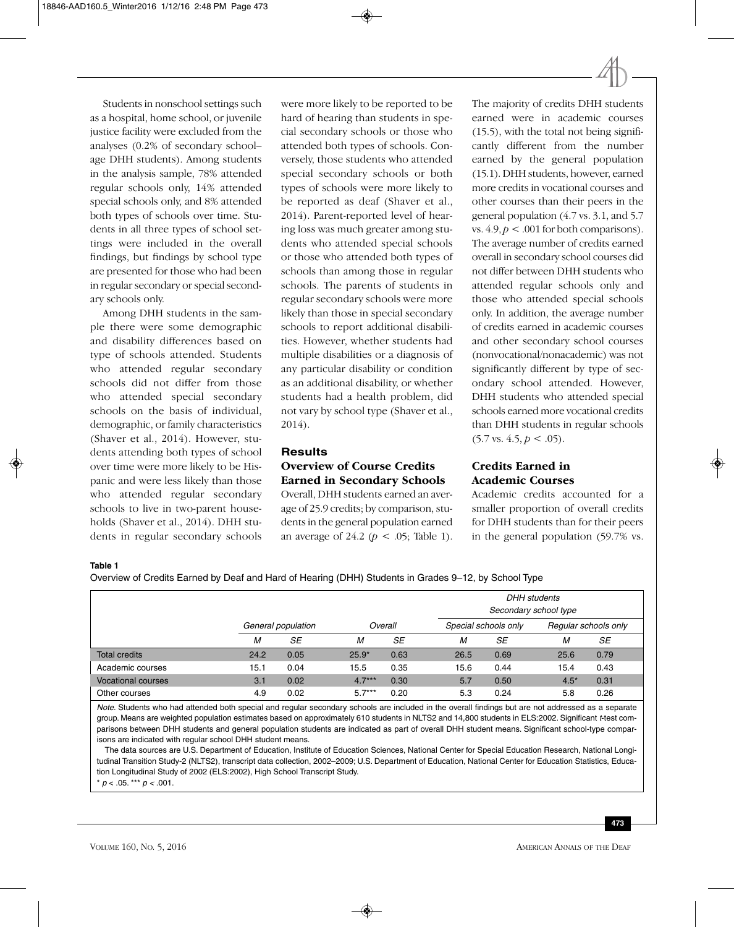Students in nonschool settings such as a hospital, home school, or juvenile justice facility were excluded from the analyses (0.2% of secondary school– age DHH students). Among students in the analysis sample, 78% attended regular schools only, 14% attended special schools only, and 8% attended both types of schools over time. Students in all three types of school settings were included in the overall findings, but findings by school type are presented for those who had been in regular secondary or special secondary schools only.

Among DHH students in the sample there were some demographic and disability differences based on type of schools attended. Students who attended regular secondary schools did not differ from those who attended special secondary schools on the basis of individual, demographic, or family characteristics (Shaver et al., 2014). However, students attending both types of school over time were more likely to be Hispanic and were less likely than those who attended regular secondary schools to live in two-parent households (Shaver et al., 2014). DHH students in regular secondary schools

were more likely to be reported to be hard of hearing than students in special secondary schools or those who attended both types of schools. Conversely, those students who attended special secondary schools or both types of schools were more likely to be reported as deaf (Shaver et al., 2014). Parent-reported level of hearing loss was much greater among students who attended special schools or those who attended both types of schools than among those in regular schools. The parents of students in regular secondary schools were more likely than those in special secondary schools to report additional disabilities. However, whether students had multiple disabilities or a diagnosis of any particular disability or condition as an additional disability, or whether students had a health problem, did not vary by school type (Shaver et al., 2014).

# **Results**

## **Overview of Course Credits Earned in Secondary Schools**

Overall, DHH students earned an average of 25.9 credits; by comparison, students in the general population earned an average of 24.2 ( $p < .05$ ; Table 1). The majority of credits DHH students earned were in academic courses (15.5), with the total not being significantly different from the number earned by the general population (15.1). DHH students, however, earned more credits in vocational courses and other courses than their peers in the general population (4.7 vs. 3.1, and 5.7 vs.  $4.9, p < .001$  for both comparisons). The average number of credits earned overall in secondary school courses did not differ between DHH students who attended regular schools only and those who attended special schools only. In addition, the average number of credits earned in academic courses and other secondary school courses (nonvocational/nonacademic) was not significantly different by type of secondary school attended. However, DHH students who attended special schools earned more vocational credits than DHH students in regular schools  $(5.7 \text{ vs. } 4.5, p < .05).$ 

## **Credits Earned in Academic Courses**

Academic credits accounted for a smaller proportion of overall credits for DHH students than for their peers in the general population (59.7% vs.

#### **Table 1**

Overview of Credits Earned by Deaf and Hard of Hearing (DHH) Students in Grades 9–12, by School Type

|                           |                    |           |          |           |      | <b>DHH</b> students<br>Secondary school type |        |                      |  |  |
|---------------------------|--------------------|-----------|----------|-----------|------|----------------------------------------------|--------|----------------------|--|--|
|                           | General population |           |          | Overall   |      | Special schools only                         |        | Regular schools only |  |  |
|                           | M                  | <b>SE</b> | М        | <b>SE</b> | M    | <b>SE</b>                                    | M      | SE                   |  |  |
| <b>Total credits</b>      | 24.2               | 0.05      | $25.9*$  | 0.63      | 26.5 | 0.69                                         | 25.6   | 0.79                 |  |  |
| Academic courses          | 15.1               | 0.04      | 15.5     | 0.35      | 15.6 | 0.44                                         | 15.4   | 0.43                 |  |  |
| <b>Vocational courses</b> | 3.1                | 0.02      | $4.7***$ | 0.30      | 5.7  | 0.50                                         | $4.5*$ | 0.31                 |  |  |
| Other courses             | 4.9                | 0.02      | $5.7***$ | 0.20      | 5.3  | 0.24                                         | 5.8    | 0.26                 |  |  |

*Note*. Students who had attended both special and regular secondary schools are included in the overall findings but are not addressed as a separate group. Means are weighted population estimates based on approximately 610 students in NLTS2 and 14,800 students in ELS:2002. Significant *t*-test comparisons between DHH students and general population students are indicated as part of overall DHH student means. Significant school-type comparisons are indicated with regular school DHH student means.

The data sources are U.S. Department of Education, Institute of Education Sciences, National Center for Special Education Research, National Longitudinal Transition Study-2 (NLTS2), transcript data collection, 2002–2009; U.S. Department of Education, National Center for Education Statistics, Education Longitudinal Study of 2002 (ELS:2002), High School Transcript Study.

 $*$   $p$  < .05. \*\*\*  $p$  < .001.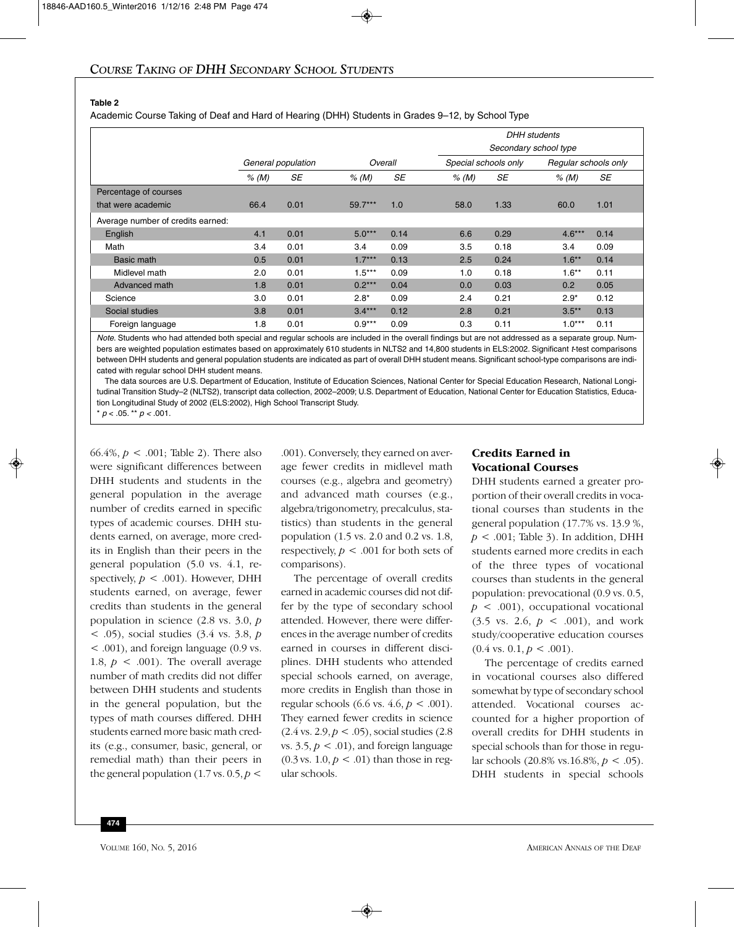#### **Table 2**

Academic Course Taking of Deaf and Hard of Hearing (DHH) Students in Grades 9–12, by School Type

|                                   |                    |           |           |           |       | DHH students          |          |                      |  |  |
|-----------------------------------|--------------------|-----------|-----------|-----------|-------|-----------------------|----------|----------------------|--|--|
|                                   |                    |           |           |           |       | Secondary school type |          |                      |  |  |
|                                   | General population |           | Overall   |           |       | Special schools only  |          | Regular schools only |  |  |
|                                   | % (M)              | <b>SE</b> | % (M)     | <b>SE</b> | % (M) | <b>SE</b>             | % (M)    | SE                   |  |  |
| Percentage of courses             |                    |           |           |           |       |                       |          |                      |  |  |
| that were academic                | 66.4               | 0.01      | $59.7***$ | 1.0       | 58.0  | 1.33                  | 60.0     | 1.01                 |  |  |
| Average number of credits earned: |                    |           |           |           |       |                       |          |                      |  |  |
| English                           | 4.1                | 0.01      | $5.0***$  | 0.14      | 6.6   | 0.29                  | $4.6***$ | 0.14                 |  |  |
| Math                              | 3.4                | 0.01      | 3.4       | 0.09      | 3.5   | 0.18                  | 3.4      | 0.09                 |  |  |
| Basic math                        | 0.5                | 0.01      | $1.7***$  | 0.13      | 2.5   | 0.24                  | $1.6***$ | 0.14                 |  |  |
| Midlevel math                     | 2.0                | 0.01      | $1.5***$  | 0.09      | 1.0   | 0.18                  | $1.6***$ | 0.11                 |  |  |
| Advanced math                     | 1.8                | 0.01      | $0.2***$  | 0.04      | 0.0   | 0.03                  | 0.2      | 0.05                 |  |  |
| Science                           | 3.0                | 0.01      | $2.8*$    | 0.09      | 2.4   | 0.21                  | $2.9*$   | 0.12                 |  |  |
| Social studies                    | 3.8                | 0.01      | $3.4***$  | 0.12      | 2.8   | 0.21                  | $3.5***$ | 0.13                 |  |  |
| Foreign language                  | 1.8                | 0.01      | $0.9***$  | 0.09      | 0.3   | 0.11                  | $1.0***$ | 0.11                 |  |  |

*Note*. Students who had attended both special and regular schools are included in the overall findings but are not addressed as a separate group. Numbers are weighted population estimates based on approximately 610 students in NLTS2 and 14,800 students in ELS:2002. Significant *t*-test comparisons between DHH students and general population students are indicated as part of overall DHH student means. Significant school-type comparisons are indicated with regular school DHH student means.

The data sources are U.S. Department of Education, Institute of Education Sciences, National Center for Special Education Research, National Longitudinal Transition Study–2 (NLTS2), transcript data collection, 2002–2009; U.S. Department of Education, National Center for Education Statistics, Education Longitudinal Study of 2002 (ELS:2002), High School Transcript Study. \* *p* < .05. \*\* *p <* .001.

66.4%,  $p < .001$ ; Table 2). There also were significant differences between DHH students and students in the general population in the average number of credits earned in specific types of academic courses. DHH students earned, on average, more credits in English than their peers in the general population (5.0 vs. 4.1, respectively,  $p < .001$ ). However, DHH students earned, on average, fewer credits than students in the general population in science (2.8 vs. 3.0, *p <* .05), social studies (3.4 vs. 3.8, *p <* .001), and foreign language (0.9 vs. 1.8,  $p < .001$ ). The overall average number of math credits did not differ between DHH students and students in the general population, but the types of math courses differed. DHH students earned more basic math credits (e.g., consumer, basic, general, or remedial math) than their peers in the general population (1.7 vs.  $0.5, p \leq$ 

.001). Conversely, they earned on average fewer credits in midlevel math courses (e.g., algebra and geometry) and advanced math courses (e.g., algebra/trigonometry, precalculus, statistics) than students in the general population (1.5 vs. 2.0 and 0.2 vs. 1.8, respectively,  $p < .001$  for both sets of comparisons).

The percentage of overall credits earned in academic courses did not differ by the type of secondary school attended. However, there were differences in the average number of credits earned in courses in different disciplines. DHH students who attended special schools earned, on average, more credits in English than those in regular schools (6.6 vs. 4.6, *p <* .001). They earned fewer credits in science  $(2.4 \text{ vs. } 2.9, p < .05)$ , social studies  $(2.8$ vs.  $3.5, p < .01$ ), and foreign language  $(0.3 \text{ vs. } 1.0, p < .01)$  than those in regular schools.

# **Credits Earned in Vocational Courses**

DHH students earned a greater proportion of their overall credits in vocational courses than students in the general population (17.7% vs. 13.9 %,  $p < .001$ ; Table 3). In addition, DHH students earned more credits in each of the three types of vocational courses than students in the general population: prevocational (0.9 vs. 0.5, *p <* .001), occupational vocational (3.5 vs. 2.6, *p <* .001), and work study/cooperative education courses  $(0.4 \text{ vs. } 0.1, p < .001).$ 

The percentage of credits earned in vocational courses also differed somewhat by type of secondary school attended. Vocational courses accounted for a higher proportion of overall credits for DHH students in special schools than for those in regular schools (20.8% vs.16.8%, *p <* .05). DHH students in special schools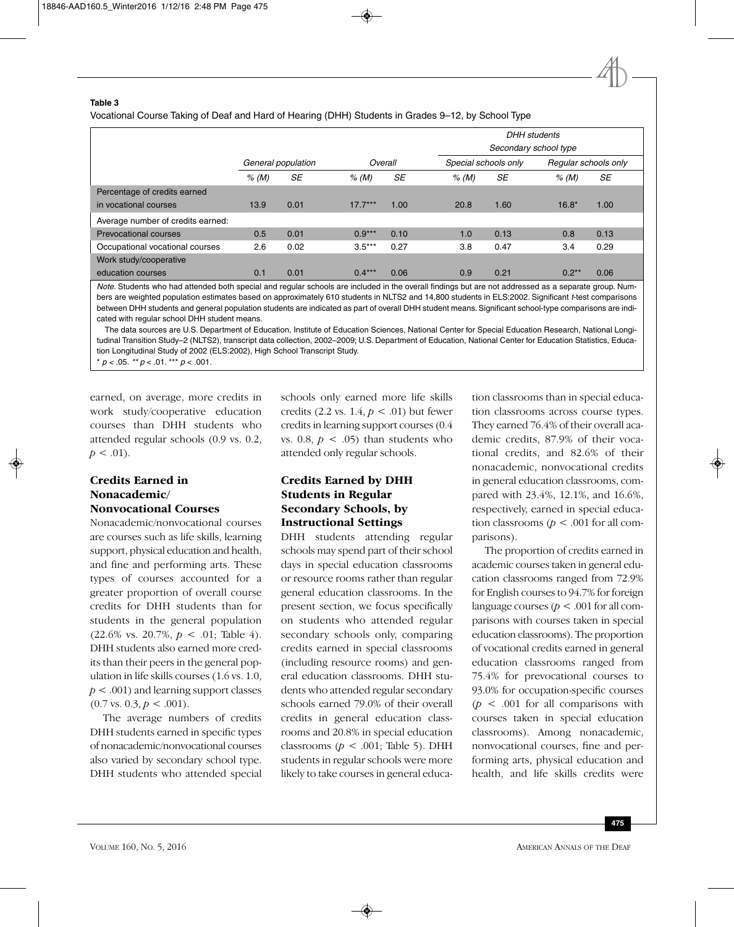#### **Table 3**

Vocational Course Taking of Deaf and Hard of Hearing (DHH) Students in Grades 9–12, by School Type

|                                   |                    |           |           |           | DHH students          |           |                      |      |  |
|-----------------------------------|--------------------|-----------|-----------|-----------|-----------------------|-----------|----------------------|------|--|
|                                   |                    |           |           |           | Secondary school type |           |                      |      |  |
|                                   | General population |           | Overall   |           | Special schools only  |           | Regular schools only |      |  |
|                                   | % (M)              | <b>SE</b> | $\%$ (M)  | <b>SE</b> | $\%$ (M)              | <b>SE</b> | % (M)                | SE   |  |
| Percentage of credits earned      |                    |           |           |           |                       |           |                      |      |  |
| in vocational courses             | 13.9               | 0.01      | $17.7***$ | 1.00      | 20.8                  | 1.60      | $16.8*$              | 1.00 |  |
| Average number of credits earned: |                    |           |           |           |                       |           |                      |      |  |
| Prevocational courses             | 0.5                | 0.01      | $0.9***$  | 0.10      | 1.0                   | 0.13      | 0.8                  | 0.13 |  |
| Occupational vocational courses   | 2.6                | 0.02      | $3.5***$  | 0.27      | 3.8                   | 0.47      | 3.4                  | 0.29 |  |
| Work study/cooperative            |                    |           |           |           |                       |           |                      |      |  |
| education courses                 | 0.1                | 0.01      | $0.4***$  | 0.06      | 0.9                   | 0.21      | $0.2***$             | 0.06 |  |

*Note*. Students who had attended both special and regular schools are included in the overall findings but are not addressed as a separate group. Numbers are weighted population estimates based on approximately 610 students in NLTS2 and 14,800 students in ELS:2002. Significant *t*-test comparisons between DHH students and general population students are indicated as part of overall DHH student means. Significant school-type comparisons are indicated with regular school DHH student means.

The data sources are U.S. Department of Education, Institute of Education Sciences, National Center for Special Education Research, National Longitudinal Transition Study–2 (NLTS2), transcript data collection, 2002–2009; U.S. Department of Education, National Center for Education Statistics, Education Longitudinal Study of 2002 (ELS:2002), High School Transcript Study.

\* *p <* .05. *\*\* p* < .01. \*\*\* *p* < .001.

earned, on average, more credits in work study/cooperative education courses than DHH students who attended regular schools (0.9 vs. 0.2,  $p < .01$ ).

## **Credits Earned in Nonacademic/ Nonvocational Courses**

Nonacademic/nonvocational courses are courses such as life skills, learning support, physical education and health, and fine and performing arts. These types of courses accounted for a greater proportion of overall course credits for DHH students than for students in the general population (22.6% vs. 20.7%, *p* < .01; Table 4). DHH students also earned more credits than their peers in the general population in life skills courses (1.6 vs. 1.0, *p <* .001) and learning support classes  $(0.7 \text{ vs. } 0.3, p \leq .001).$ 

The average numbers of credits DHH students earned in specific types of nonacademic/nonvocational courses also varied by secondary school type. DHH students who attended special

schools only earned more life skills credits  $(2.2 \text{ vs. } 1.4, p < .01)$  but fewer credits in learning support courses (0.4 vs. 0.8,  $p < .05$ ) than students who attended only regular schools.

# **Credits Earned by DHH Students in Regular Secondary Schools, by Instructional Settings**

DHH students attending regular schools may spend part of their school days in special education classrooms or resource rooms rather than regular general education classrooms. In the present section, we focus specifically on students who attended regular secondary schools only, comparing credits earned in special classrooms (including resource rooms) and general education classrooms. DHH students who attended regular secondary schools earned 79.0% of their overall credits in general education classrooms and 20.8% in special education classrooms ( $p < .001$ ; Table 5). DHH students in regular schools were more likely to take courses in general education classrooms than in special education classrooms across course types. They earned 76.4% of their overall academic credits, 87.9% of their vocational credits, and 82.6% of their nonacademic, nonvocational credits in general education classrooms, compared with 23.4%, 12.1%, and 16.6%, respectively, earned in special education classrooms ( $p < .001$  for all comparisons).

The proportion of credits earned in academic courses taken in general education classrooms ranged from 72.9% for English courses to 94.7% for foreign language courses ( $p < .001$  for all comparisons with courses taken in special education classrooms). The proportion of vocational credits earned in general education classrooms ranged from 75.4% for prevocational courses to 93.0% for occupation-specific courses  $(p \lt 0.001$  for all comparisons with courses taken in special education classrooms). Among nonacademic, nonvocational courses, fine and performing arts, physical education and health, and life skills credits were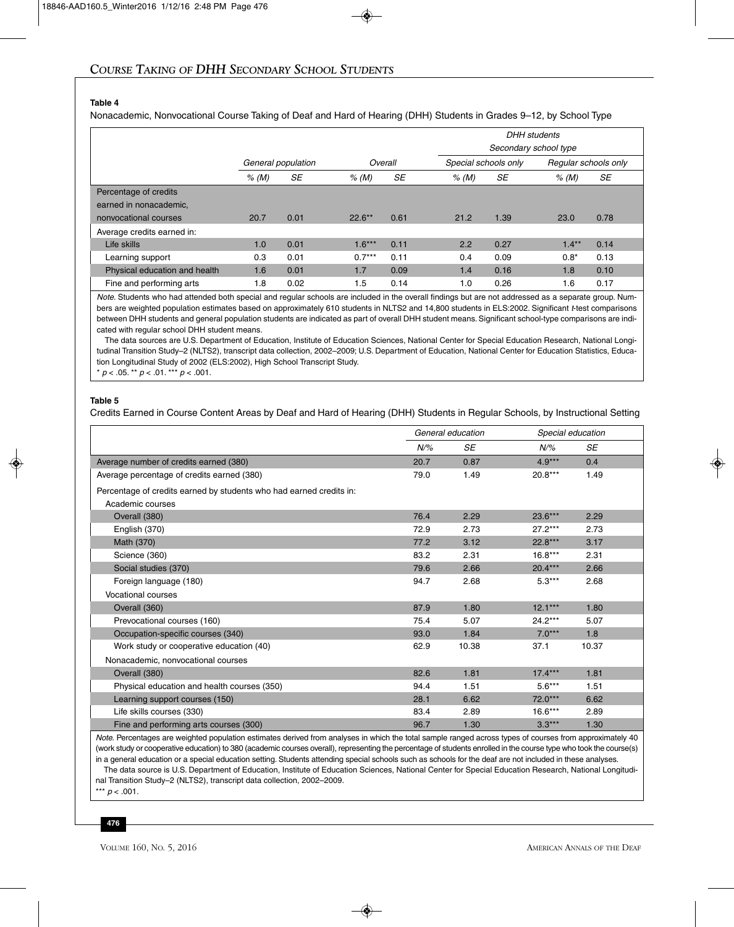#### **Table 4**

Nonacademic, Nonvocational Course Taking of Deaf and Hard of Hearing (DHH) Students in Grades 9–12, by School Type

|                               |                    |           |           |           | DHH students          |           |                      |      |  |
|-------------------------------|--------------------|-----------|-----------|-----------|-----------------------|-----------|----------------------|------|--|
|                               |                    |           |           |           | Secondary school type |           |                      |      |  |
|                               | General population |           | Overall   |           | Special schools only  |           | Regular schools only |      |  |
|                               | % (M)              | <b>SE</b> | % (M)     | <b>SE</b> | % (M)                 | <b>SE</b> | % (M)                | SE   |  |
| Percentage of credits         |                    |           |           |           |                       |           |                      |      |  |
| earned in nonacademic.        |                    |           |           |           |                       |           |                      |      |  |
| nonvocational courses         | 20.7               | 0.01      | $22.6***$ | 0.61      | 21.2                  | 1.39      | 23.0                 | 0.78 |  |
| Average credits earned in:    |                    |           |           |           |                       |           |                      |      |  |
| Life skills                   | 1.0                | 0.01      | $1.6***$  | 0.11      | 2.2                   | 0.27      | $1.4***$             | 0.14 |  |
| Learning support              | 0.3                | 0.01      | $0.7***$  | 0.11      | 0.4                   | 0.09      | $0.8*$               | 0.13 |  |
| Physical education and health | 1.6                | 0.01      | 1.7       | 0.09      | 1.4                   | 0.16      | 1.8                  | 0.10 |  |
| Fine and performing arts      | 1.8                | 0.02      | 1.5       | 0.14      | 1.0                   | 0.26      | 1.6                  | 0.17 |  |

*Note*. Students who had attended both special and regular schools are included in the overall findings but are not addressed as a separate group. Numbers are weighted population estimates based on approximately 610 students in NLTS2 and 14,800 students in ELS:2002. Significant *t*-test comparisons between DHH students and general population students are indicated as part of overall DHH student means. Significant school-type comparisons are indicated with regular school DHH student means.

The data sources are U.S. Department of Education, Institute of Education Sciences, National Center for Special Education Research, National Longitudinal Transition Study–2 (NLTS2), transcript data collection, 2002–2009; U.S. Department of Education, National Center for Education Statistics, Education Longitudinal Study of 2002 (ELS:2002), High School Transcript Study.

\* *p* < .05. \*\* *p* < .01. \*\*\* *p* < .001.

#### **Table 5**

Credits Earned in Course Content Areas by Deaf and Hard of Hearing (DHH) Students in Regular Schools, by Instructional Setting

|                                                                     | General education |           | Special education |           |
|---------------------------------------------------------------------|-------------------|-----------|-------------------|-----------|
|                                                                     | $N\frac{9}{6}$    | <b>SE</b> | $N\frac{9}{6}$    | <b>SE</b> |
| Average number of credits earned (380)                              | 20.7              | 0.87      | $4.9***$          | 0.4       |
| Average percentage of credits earned (380)                          | 79.0              | 1.49      | $20.8***$         | 1.49      |
| Percentage of credits earned by students who had earned credits in: |                   |           |                   |           |
| Academic courses                                                    |                   |           |                   |           |
| Overall (380)                                                       | 76.4              | 2.29      | $23.6***$         | 2.29      |
| English (370)                                                       | 72.9              | 2.73      | $27.2***$         | 2.73      |
| Math (370)                                                          | 77.2              | 3.12      | $22.8***$         | 3.17      |
| Science (360)                                                       | 83.2              | 2.31      | $16.8***$         | 2.31      |
| Social studies (370)                                                | 79.6              | 2.66      | $20.4***$         | 2.66      |
| Foreign language (180)                                              | 94.7              | 2.68      | $5.3***$          | 2.68      |
| Vocational courses                                                  |                   |           |                   |           |
| Overall (360)                                                       | 87.9              | 1.80      | $12.1***$         | 1.80      |
| Prevocational courses (160)                                         | 75.4              | 5.07      | $24.2***$         | 5.07      |
| Occupation-specific courses (340)                                   | 93.0              | 1.84      | $7.0***$          | 1.8       |
| Work study or cooperative education (40)                            | 62.9              | 10.38     | 37.1              | 10.37     |
| Nonacademic, nonvocational courses                                  |                   |           |                   |           |
| Overall (380)                                                       | 82.6              | 1.81      | $17.4***$         | 1.81      |
| Physical education and health courses (350)                         | 94.4              | 1.51      | $5.6***$          | 1.51      |
| Learning support courses (150)                                      | 28.1              | 6.62      | $72.0***$         | 6.62      |
| Life skills courses (330)                                           | 83.4              | 2.89      | $16.6***$         | 2.89      |
| Fine and performing arts courses (300)                              | 96.7              | 1.30      | $3.3***$          | 1.30      |

*Note.* Percentages are weighted population estimates derived from analyses in which the total sample ranged across types of courses from approximately 40 (work study or cooperative education) to 380 (academic courses overall), representing the percentage of students enrolled in the course type who took the course(s) in a general education or a special education setting. Students attending special schools such as schools for the deaf are not included in these analyses.

The data source is U.S. Department of Education, Institute of Education Sciences, National Center for Special Education Research, National Longitudinal Transition Study–2 (NLTS2), transcript data collection, 2002–2009.

\*\*\*  $p < .001$ .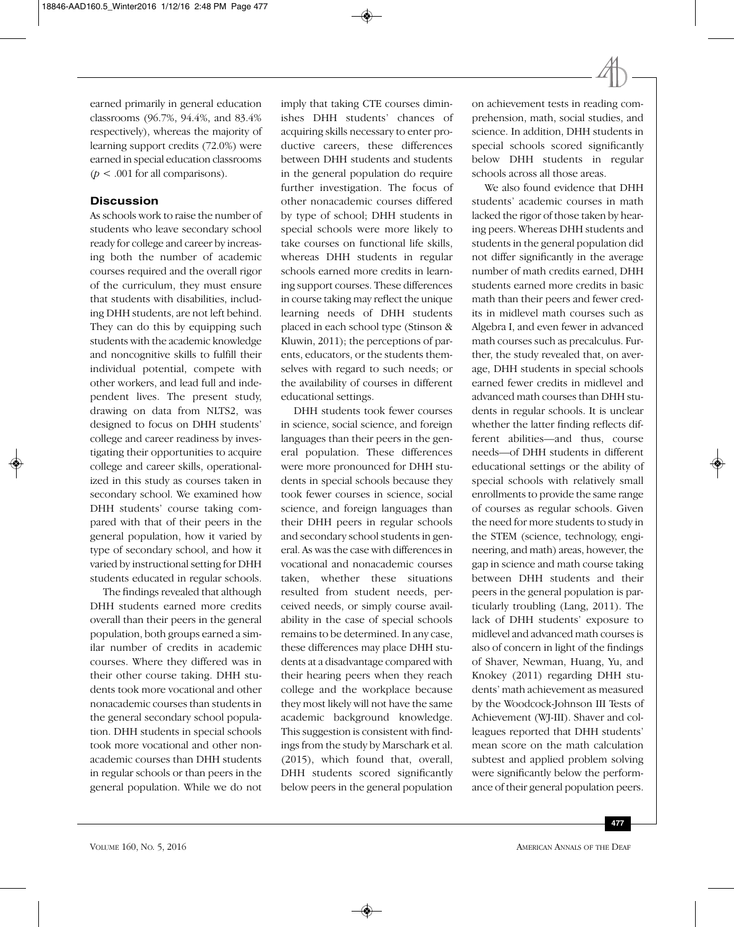earned primarily in general education classrooms (96.7%, 94.4%, and 83.4% respectively), whereas the majority of learning support credits (72.0%) were earned in special education classrooms  $(p < .001$  for all comparisons).

## **Discussion**

As schools work to raise the number of students who leave secondary school ready for college and career by increasing both the number of academic courses required and the overall rigor of the curriculum, they must ensure that students with disabilities, including DHH students, are not left behind. They can do this by equipping such students with the academic knowledge and noncognitive skills to fulfill their individual potential, compete with other workers, and lead full and independent lives. The present study, drawing on data from NLTS2, was designed to focus on DHH students' college and career readiness by investigating their opportunities to acquire college and career skills, operationalized in this study as courses taken in secondary school. We examined how DHH students' course taking compared with that of their peers in the general population, how it varied by type of secondary school, and how it varied by instructional setting for DHH students educated in regular schools.

The findings revealed that although DHH students earned more credits overall than their peers in the general population, both groups earned a similar number of credits in academic courses. Where they differed was in their other course taking. DHH students took more vocational and other nonacademic courses than students in the general secondary school population. DHH students in special schools took more vocational and other nonacademic courses than DHH students in regular schools or than peers in the general population. While we do not

imply that taking CTE courses diminishes DHH students' chances of acquiring skills necessary to enter productive careers, these differences between DHH students and students in the general population do require further investigation. The focus of other nonacademic courses differed by type of school; DHH students in special schools were more likely to take courses on functional life skills, whereas DHH students in regular schools earned more credits in learning support courses. These differences in course taking may reflect the unique learning needs of DHH students placed in each school type (Stinson & Kluwin, 2011); the perceptions of parents, educators, or the students themselves with regard to such needs; or the availability of courses in different educational settings.

DHH students took fewer courses in science, social science, and foreign languages than their peers in the general population. These differences were more pronounced for DHH students in special schools because they took fewer courses in science, social science, and foreign languages than their DHH peers in regular schools and secondary school students in general. As was the case with differences in vocational and nonacademic courses taken, whether these situations resulted from student needs, perceived needs, or simply course availability in the case of special schools remains to be determined. In any case, these differences may place DHH students at a disadvantage compared with their hearing peers when they reach college and the workplace because they most likely will not have the same academic background knowledge. This suggestion is consistent with findings from the study by Marschark et al. (2015), which found that, overall, DHH students scored significantly below peers in the general population on achievement tests in reading comprehension, math, social studies, and science. In addition, DHH students in special schools scored significantly below DHH students in regular schools across all those areas.

We also found evidence that DHH students' academic courses in math lacked the rigor of those taken by hearing peers. Whereas DHH students and students in the general population did not differ significantly in the average number of math credits earned, DHH students earned more credits in basic math than their peers and fewer credits in midlevel math courses such as Algebra I, and even fewer in advanced math courses such as precalculus. Further, the study revealed that, on average, DHH students in special schools earned fewer credits in midlevel and advanced math courses than DHH students in regular schools. It is unclear whether the latter finding reflects different abilities—and thus, course needs—of DHH students in different educational settings or the ability of special schools with relatively small enrollments to provide the same range of courses as regular schools. Given the need for more students to study in the STEM (science, technology, engineering, and math) areas, however, the gap in science and math course taking between DHH students and their peers in the general population is particularly troubling (Lang, 2011). The lack of DHH students' exposure to midlevel and advanced math courses is also of concern in light of the findings of Shaver, Newman, Huang, Yu, and Knokey (2011) regarding DHH students' math achievement as measured by the Woodcock-Johnson III Tests of Achievement (WJ-III). Shaver and colleagues reported that DHH students' mean score on the math calculation subtest and applied problem solving were significantly below the performance of their general population peers.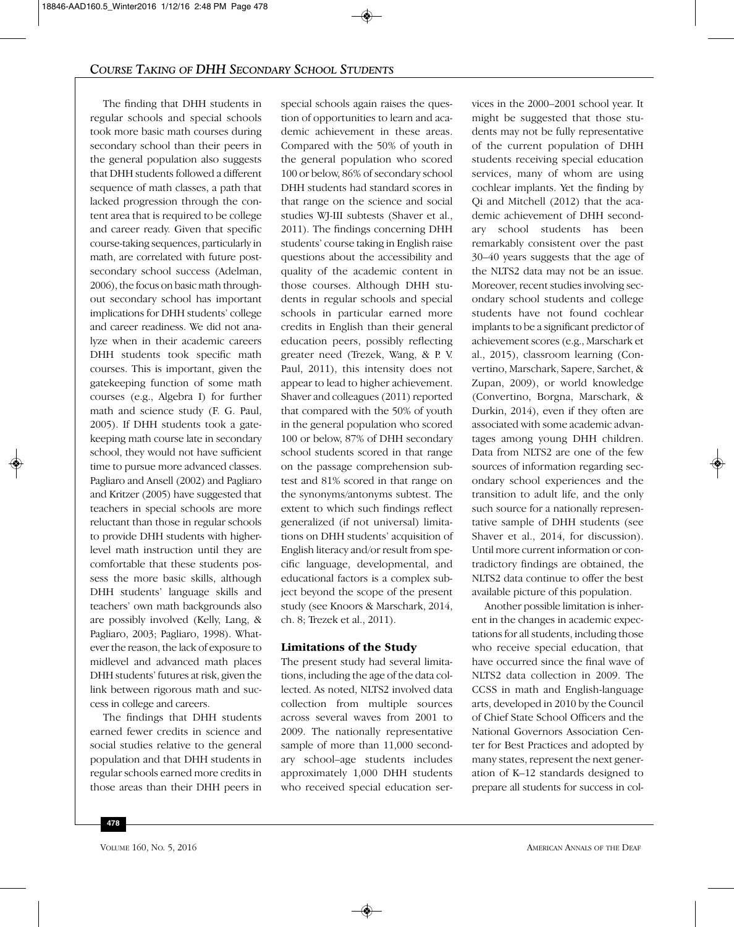The finding that DHH students in regular schools and special schools took more basic math courses during secondary school than their peers in the general population also suggests that DHH students followed a different sequence of math classes, a path that lacked progression through the content area that is required to be college and career ready. Given that specific course-taking sequences, particularly in math, are correlated with future postsecondary school success (Adelman, 2006), the focus on basic math throughout secondary school has important implications for DHH students' college and career readiness. We did not analyze when in their academic careers DHH students took specific math courses. This is important, given the gatekeeping function of some math courses (e.g., Algebra I) for further math and science study (F. G. Paul, 2005). If DHH students took a gatekeeping math course late in secondary school, they would not have sufficient time to pursue more advanced classes. Pagliaro and Ansell (2002) and Pagliaro and Kritzer (2005) have suggested that teachers in special schools are more reluctant than those in regular schools to provide DHH students with higherlevel math instruction until they are comfortable that these students possess the more basic skills, although DHH students' language skills and teachers' own math backgrounds also are possibly involved (Kelly, Lang, & Pagliaro, 2003; Pagliaro, 1998). Whateverthe reason, the lack of exposure to midlevel and advanced math places DHH students' futures at risk, given the link between rigorous math and success in college and careers.

The findings that DHH students earned fewer credits in science and social studies relative to the general population and that DHH students in regular schools earned more credits in those areas than their DHH peers in

special schools again raises the question of opportunities to learn and academic achievement in these areas. Compared with the 50% of youth in the general population who scored 100 or below, 86% of secondary school DHH students had standard scores in that range on the science and social studies WJ-III subtests (Shaver et al., 2011). The findings concerning DHH students' course taking in English raise questions about the accessibility and quality of the academic content in those courses. Although DHH students in regular schools and special schools in particular earned more credits in English than their general education peers, possibly reflecting greater need (Trezek, Wang, & P. V. Paul, 2011), this intensity does not appear to lead to higher achievement. Shaver and colleagues (2011) reported that compared with the 50% of youth in the general population who scored 100 or below, 87% of DHH secondary school students scored in that range on the passage comprehension subtest and 81% scored in that range on the synonyms/antonyms subtest. The extent to which such findings reflect generalized (if not universal) limitations on DHH students' acquisition of English literacy and/or result from specific language, developmental, and educational factors is a complex subject beyond the scope of the present study (see Knoors & Marschark, 2014, ch. 8; Trezek et al., 2011).

## **Limitations of the Study**

The present study had several limitations, including the age of the data collected. As noted, NLTS2 involved data collection from multiple sources across several waves from 2001 to 2009. The nationally representative sample of more than 11,000 secondary school–age students includes approximately 1,000 DHH students who received special education services in the 2000–2001 school year. It might be suggested that those students may not be fully representative of the current population of DHH students receiving special education services, many of whom are using cochlear implants. Yet the finding by Qi and Mitchell (2012) that the academic achievement of DHH secondary school students has been remarkably consistent over the past 30–40 years suggests that the age of the NLTS2 data may not be an issue. Moreover, recent studies involving secondary school students and college students have not found cochlear implants to be a significant predictor of achievement scores (e.g., Marschark et al., 2015), classroom learning (Convertino, Marschark, Sapere, Sarchet, & Zupan, 2009), or world knowledge (Convertino, Borgna, Marschark, & Durkin, 2014), even if they often are associated with some academic advantages among young DHH children. Data from NLTS2 are one of the few sources of information regarding secondary school experiences and the transition to adult life, and the only such source for a nationally representative sample of DHH students (see Shaver et al., 2014, for discussion). Until more current information or contradictory findings are obtained, the NLTS2 data continue to offer the best available picture of this population.

Another possible limitation is inherent in the changes in academic expectations for all students, including those who receive special education, that have occurred since the final wave of NLTS2 data collection in 2009. The CCSS in math and English-language arts, developed in 2010 by the Council of Chief State School Officers and the National Governors Association Center for Best Practices and adopted by many states, represent the next generation of K–12 standards designed to prepare all students for success in col-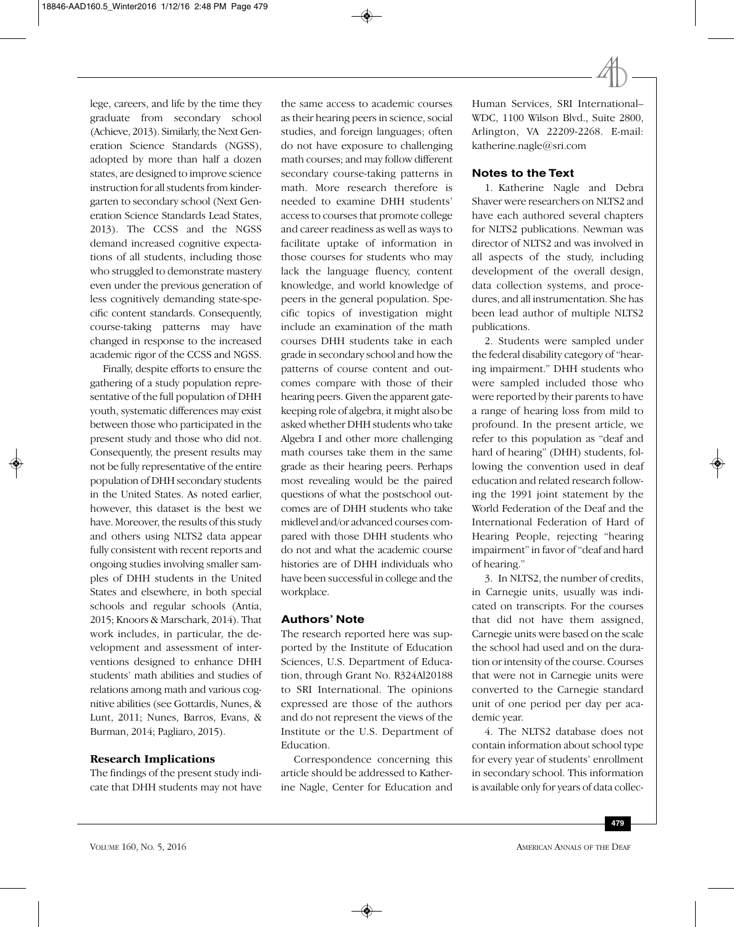lege, careers, and life by the time they graduate from secondary school (Achieve, 2013). Similarly, the Next Generation Science Standards (NGSS), adopted by more than half a dozen states, are designed to improve science instruction for all students from kindergarten to secondary school (Next Generation Science Standards Lead States, 2013). The CCSS and the NGSS demand increased cognitive expectations of all students, including those who struggled to demonstrate mastery even under the previous generation of less cognitively demanding state-specific content standards. Consequently, course-taking patterns may have changed in response to the increased academic rigor of the CCSS and NGSS.

Finally, despite efforts to ensure the gathering of a study population representative of the full population of DHH youth, systematic differences may exist between those who participated in the present study and those who did not. Consequently, the present results may not be fully representative of the entire population of DHH secondary students in the United States. As noted earlier, however, this dataset is the best we have. Moreover, the results of this study and others using NLTS2 data appear fully consistent with recent reports and ongoing studies involving smaller samples of DHH students in the United States and elsewhere, in both special schools and regular schools (Antia, 2015; Knoors & Marschark, 2014). That work includes, in particular, the development and assessment of interventions designed to enhance DHH students' math abilities and studies of relations among math and various cognitive abilities (see Gottardis, Nunes, & Lunt, 2011; Nunes, Barros, Evans, & Burman, 2014; Pagliaro, 2015).

## **Research Implications**

The findings of the present study indicate that DHH students may not have the same access to academic courses as their hearing peers in science, social studies, and foreign languages; often do not have exposure to challenging math courses; and may follow different secondary course-taking patterns in math. More research therefore is needed to examine DHH students' access to courses that promote college and career readiness as well as ways to facilitate uptake of information in those courses for students who may lack the language fluency, content knowledge, and world knowledge of peers in the general population. Specific topics of investigation might include an examination of the math courses DHH students take in each grade in secondary school and how the patterns of course content and outcomes compare with those of their hearing peers. Given the apparent gatekeeping role of algebra, it might also be asked whether DHH students who take Algebra I and other more challenging math courses take them in the same grade as their hearing peers. Perhaps most revealing would be the paired questions of what the postschool outcomes are of DHH students who take midlevel and/or advanced courses compared with those DHH students who do not and what the academic course histories are of DHH individuals who have been successful in college and the workplace.

## **Authors' Note**

The research reported here was supported by the Institute of Education Sciences, U.S. Department of Education, through Grant No. R324Al20188 to SRI International. The opinions expressed are those of the authors and do not represent the views of the Institute or the U.S. Department of Education.

Correspondence concerning this article should be addressed to Katherine Nagle, Center for Education and Human Services, SRI International– WDC, 1100 Wilson Blvd., Suite 2800, Arlington, VA 22209-2268. E-mail: katherine.nagle@sri.com

## **Notes to the Text**

1. Katherine Nagle and Debra Shaver were researchers on NLTS2 and have each authored several chapters for NLTS2 publications. Newman was director of NLTS2 and was involved in all aspects of the study, including development of the overall design, data collection systems, and procedures, and all instrumentation. She has been lead author of multiple NLTS2 publications.

2. Students were sampled under the federal disability category of "hearing impairment." DHH students who were sampled included those who were reported by their parents to have a range of hearing loss from mild to profound. In the present article, we refer to this population as "deaf and hard of hearing" (DHH) students, following the convention used in deaf education and related research following the 1991 joint statement by the World Federation of the Deaf and the International Federation of Hard of Hearing People, rejecting "hearing impairment" in favor of "deaf and hard of hearing."

3. In NLTS2, the number of credits, in Carnegie units, usually was indicated on transcripts. For the courses that did not have them assigned, Carnegie units were based on the scale the school had used and on the duration or intensity of the course. Courses that were not in Carnegie units were converted to the Carnegie standard unit of one period per day per academic year.

4. The NLTS2 database does not contain information about school type for every year of students' enrollment in secondary school. This information is available only for years of data collec-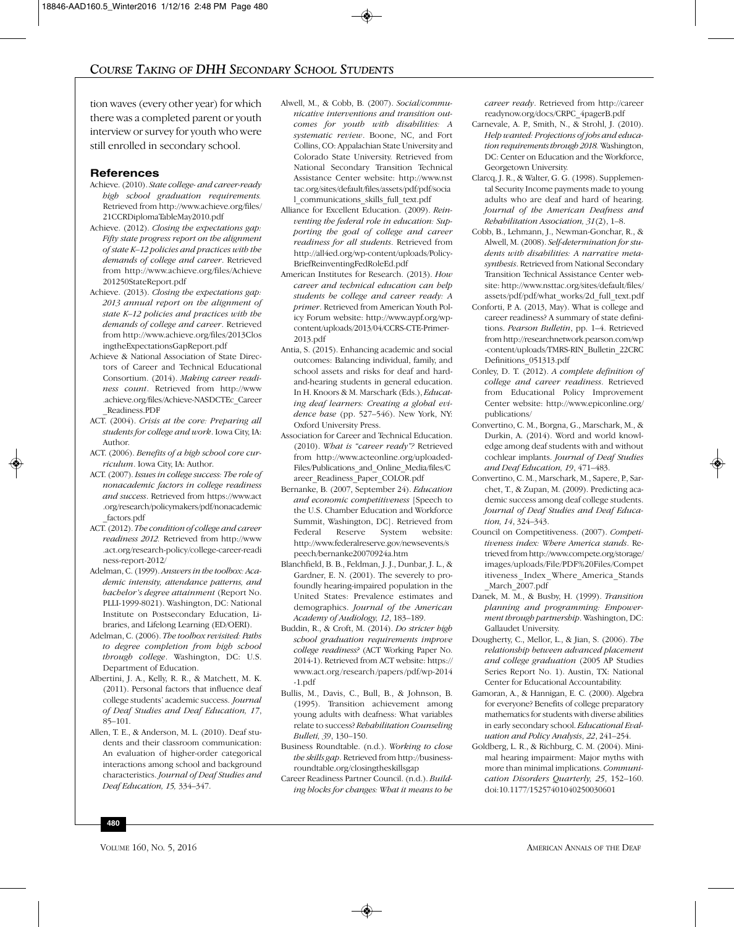tion waves (every other year) for which there was a completed parent or youth interview or survey for youth who were still enrolled in secondary school.

## **References**

- Achieve. (2010). *State college- and career-ready high school graduation requirements.* Retrieved from http://www.achieve.org/files/ 21CCRDiplomaTableMay2010.pdf
- Achieve. (2012). *Closing the expectations gap: Fifty state progress report on the alignment of state K–12 policies and practices with the demands of college and career*. Retrieved from http://www.achieve.org/files/Achieve 201250StateReport.pdf
- Achieve. (2013). *Closing the expectations gap: 2013 annual report on the alignment of state K–12 policies and practices with the demands of college and career*. Retrieved from http://www.achieve.org/files/2013Clos ingtheExpectationsGapReport.pdf
- Achieve & National Association of State Directors of Career and Technical Educational Consortium. (2014). *Making career readiness count*. Retrieved from http://www .achieve.org/files/Achieve-NASDCTEc\_Career \_Readiness.PDF
- ACT. (2004). *Crisis at the core: Preparing all students for college and work*. Iowa City, IA: Author.
- ACT. (2006). *Benefits of a high school core curriculum*. Iowa City, IA: Author.
- ACT. (2007). *Issues in college success: The role of nonacademic factors in college readiness and success*. Retrieved from https://www.act .org/research/policymakers/pdf/nonacademic \_factors.pdf
- ACT.(2012). *The condition of college and career readiness 2012.* Retrieved from http://www .act.org/research-policy/college-career-readi ness-report-2012/
- Adelman, C.(1999). *Answers in the toolbox: Academic intensity, attendance patterns, and bachelor's degree attainment* (Report No. PLLI-1999-8021). Washington, DC: National Institute on Postsecondary Education, Libraries, and Lifelong Learning (ED/OERI).
- Adelman, C. (2006). *The toolbox revisited: Paths to degree completion from high school through college*. Washington, DC: U.S. Department of Education.
- Albertini, J. A., Kelly, R. R., & Matchett, M. K. (2011). Personal factors that influence deaf college students' academic success. *Journal of Deaf Studies and Deaf Education, 17*, 85–101.
- Allen, T. E., & Anderson, M. L. (2010). Deaf students and their classroom communication: An evaluation of higher-order categorical interactions among school and background characteristics. *Journal of Deaf Studies and Deaf Education, 15,* 334–347.
- Alwell, M., & Cobb, B. (2007). *Social/communicative interventions and transition outcomes for youth with disabilities: A systematic review*. Boone, NC, and Fort Collins, CO: Appalachian State University and Colorado State University. Retrieved from National Secondary Transition Technical Assistance Center website: http://www.nst tac.org/sites/default/files/assets/pdf/pdf/socia l\_communications\_skills\_full\_text.pdf
- Alliance for Excellent Education. (2009). *Reinventing the federal role in education: Supporting the goal of college and career readiness for all students*. Retrieved from http://all4ed.org/wp-content/uploads/Policy-BriefReinventingFedRoleEd.pdf
- American Institutes for Research. (2013). *How career and technical education can help students be college and career ready: A primer*. Retrieved from American Youth Policy Forum website: http://www.aypf.org/wpcontent/uploads/2013/04/CCRS-CTE-Primer-2013.pdf
- Antia, S. (2015). Enhancing academic and social outcomes: Balancing individual, family, and school assets and risks for deaf and hardand-hearing students in general education. In H. Knoors & M. Marschark (Eds.), *Educating deaf learners: Creating a global evidence base* (pp. 527–546). New York, NY: Oxford University Press.
- Association for Career and Technical Education. (2010). *What is "career ready"?* Retrieved from http://www.acteonline.org/uploaded-Files/Publications\_and\_Online\_Media/files/C areer\_Readiness\_Paper\_COLOR.pdf
- Bernanke, B. (2007, September 24). *Education and economic competitiveness* [Speech to the U.S. Chamber Education and Workforce Summit, Washington, DC]. Retrieved from Federal Reserve System website: http://www.federalreserve.gov/newsevents/s peech/bernanke20070924a.htm
- Blanchfield, B. B., Feldman, J. J., Dunbar, J. L., & Gardner, E. N. (2001). The severely to profoundly hearing-impaired population in the United States: Prevalence estimates and demographics. *Journal of the American Academy of Audiology, 12*, 183–189.
- Buddin, R., & Croft, M. (2014). *Do stricter high school graduation requirements improve college readiness?* (ACT Working Paper No. 2014-1). Retrieved from ACT website: https:// www.act.org/research/papers /pdf/wp-2014 -1.pdf
- Bullis, M., Davis, C., Bull, B., & Johnson, B. (1995). Transition achievement among young adults with deafness: What variables relate to success? *Rehabilitation Counseling Bulleti, 39*, 130–150.
- Business Roundtable. (n.d.). *Working to close the skills gap*. Retrieved from http://businessroundtable.org/closingtheskillsgap
- Career Readiness Partner Council. (n.d.). *Building blocks for changes: What it means to be*

*career ready*. Retrieved from http://career readynow.org/docs/CRPC\_4pagerB.pdf

- Carnevale, A. P., Smith, N., & Strohl, J. (2010). *Help wanted: Projections of jobs and education requirementsthrough 2018.* Washington, DC: Center on Education and the Workforce, Georgetown University.
- Clarcq, J. R., & Walter, G. G. (1998). Supplemental Security Income payments made to young adults who are deaf and hard of hearing. *Journal of the American Deafness and Rehabilitation Association, 31*(2), 1–8.
- Cobb, B., Lehmann, J., Newman-Gonchar, R., & Alwell, M. (2008). *Self-determination for students with disabilities: A narrative metasynthesis*. Retrieved from National Secondary Transition Technical Assistance Center website: http://www.nsttac.org/sites/default/files/ assets/pdf/pdf/what\_works/2d\_full\_text.pdf
- Conforti, P. A. (2013, May). What is college and career readiness? A summary of state definitions. *Pearson Bulletin*, pp. 1–4. Retrieved from http://researchnetwork.pearson.com/wp -content/uploads/TMRS-RIN\_Bulletin\_22CRC Definitions\_051313.pdf
- Conley, D. T. (2012). *A complete definition of college and career readiness*. Retrieved from Educational Policy Improvement Center website: http://www.epiconline.org/ publications/
- Convertino, C. M., Borgna, G., Marschark, M., & Durkin, A. (2014). Word and world knowledge among deaf students with and without cochlear implants. *Journal of Deaf Studies and Deaf Education, 19*, 471–483.
- Convertino, C. M., Marschark, M., Sapere, P., Sarchet, T., & Zupan, M. (2009). Predicting academic success among deaf college students. *Journal of Deaf Studies and Deaf Education, 14*, 324–343.
- Council on Competitiveness. (2007). *Competitiveness index: Where America stands*. Retrieved from http://www.compete.org/storage/ images/uploads/File/PDF%20Files/Compet itiveness\_Index\_Where\_America\_Stands \_March\_2007.pdf
- Danek, M. M., & Busby, H. (1999). *Transition planning and programming: Empowerment through partnership*. Washington, DC: Gallaudet University.
- Dougherty, C., Mellor, L., & Jian, S. (2006). *The relationship between advanced placement and college graduation* (2005 AP Studies Series Report No. 1). Austin, TX: National Center for Educational Accountability.
- Gamoran, A., & Hannigan, E. C. (2000). Algebra for everyone? Benefits of college preparatory mathematics for students with diverse abilities in early secondary school. *Educational Evaluation and Policy Analysis*, *22*, 241–254.
- Goldberg, L. R., & Richburg, C. M. (2004). Minimal hearing impairment: Major myths with more than minimal implications. *Communication Disorders Quarterly, 25*, 152–160. doi:10.1177/15257401040250030601

**480**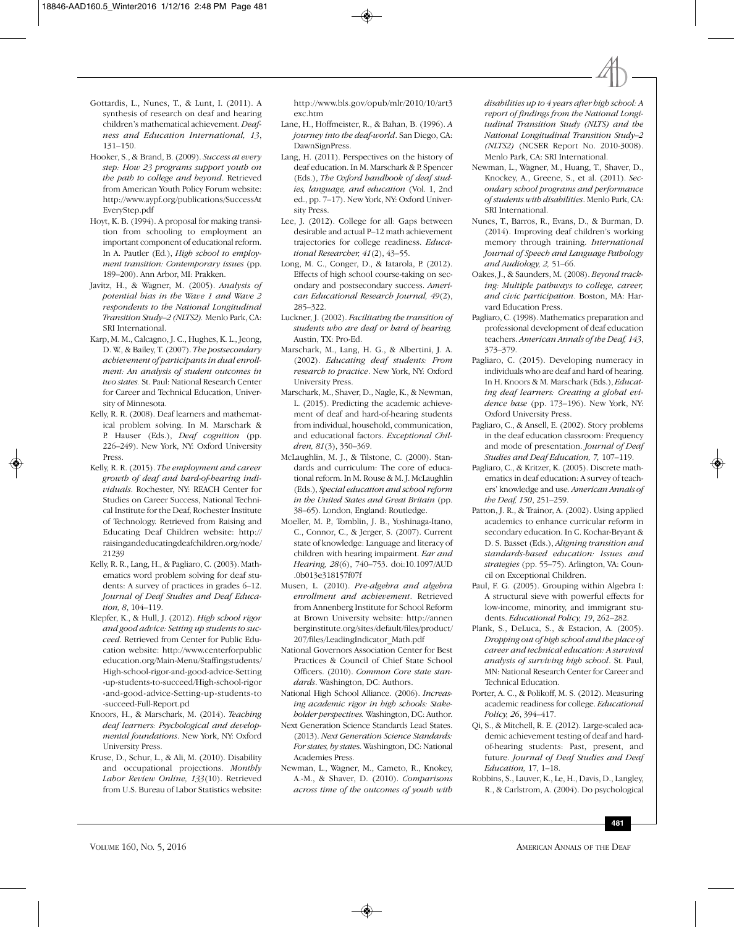- Gottardis, L., Nunes, T., & Lunt, I. (2011). A synthesis of research on deaf and hearing children's mathematical achievement. *Deafness and Education International, 13*, 131–150.
- Hooker, S., & Brand, B. (2009). *Success at every step: How 23 programs support youth on the path to college and beyond*. Retrieved from American Youth Policy Forum website: http://www.aypf.org/publications/SuccessAt EveryStep.pdf
- Hoyt, K. B. (1994). A proposal for making transition from schooling to employment an important component of educational reform. In A. Pautler (Ed.), *High school to employment transition: Contemporary issues* (pp. 189–200). Ann Arbor, MI: Prakken.
- Javitz, H., & Wagner, M. (2005). *Analysis of potential bias in the Wave 1 and Wave 2 respondents to the National Longitudinal Transition Study–2 (NLTS2).* Menlo Park, CA: SRI International.
- Karp, M. M., Calcagno, J. C., Hughes, K. L., Jeong, D. W., & Bailey, T. (2007). *The postsecondary achievement of participants in dual enrollment: An analysis of student outcomes in two states.* St. Paul: National Research Center for Career and Technical Education, University of Minnesota.
- Kelly, R. R. (2008). Deaf learners and mathematical problem solving. In M. Marschark & P. Hauser (Eds.), *Deaf cognition* (pp. 226–249). New York, NY: Oxford University Press.
- Kelly, R. R. (2015). *The employment and career growth of deaf and hard-of-hearing individuals*. Rochester, NY: REACH Center for Studies on Career Success, National Technical Institute for the Deaf, Rochester Institute of Technology. Retrieved from Raising and Educating Deaf Children website: http:// raisingandeducatingdeafchildren.org/node/ 21239
- Kelly, R. R., Lang, H., & Pagliaro, C. (2003). Mathematics word problem solving for deaf students: A survey of practices in grades 6–12. *Journal of Deaf Studies and Deaf Education, 8*, 104–119.
- Klepfer, K., & Hull, J. (2012). *High school rigor and good advice: Setting up students to succeed*. Retrieved from Center for Public Education website: http://www.centerforpublic education.org/Main-Menu/Staffingstudents/ High-school-rigor-and-good-advice-Setting -up-students-to-succeed/High-school-rigor -and-good-advice-Setting-up-students-to -succeed-Full-Report.pd
- Knoors, H., & Marschark, M. (2014). *Teaching deaf learners: Psychological and developmental foundations*. New York, NY: Oxford University Press.
- Kruse, D., Schur, L., & Ali, M. (2010). Disability and occupational projections. *Monthly Labor Review Online, 133*(10). Retrieved from U.S. Bureau of Labor Statistics website:

http://www.bls.gov/opub/mlr/2010/10/art3 exc.htm

- Lane, H., Hoffmeister, R., & Bahan, B. (1996). *A journey into the deaf-world*. San Diego, CA: DawnSignPress.
- Lang, H. (2011). Perspectives on the history of deaf education. In M. Marschark & P. Spencer (Eds.), *The Oxford handbook of deaf studies, language, and education* (Vol. 1, 2nd ed., pp. 7–17). New York, NY: Oxford University Press.
- Lee, J. (2012). College for all: Gaps between desirable and actual P–12 math achievement trajectories for college readiness. *Educational Researcher, 41*(2), 43–55.
- Long, M. C., Conger, D., & Iatarola, P. (2012). Effects of high school course-taking on secondary and postsecondary success. *American Educational Research Journal, 49*(2), 285–322.
- Luckner, J. (2002). *Facilitating the transition of students who are deaf or hard of hearing.* Austin, TX: Pro-Ed.
- Marschark, M., Lang, H. G., & Albertini, J. A. (2002). *Educating deaf students: From research to practice*. New York, NY: Oxford University Press.
- Marschark, M., Shaver, D., Nagle, K., & Newman, L. (2015). Predicting the academic achievement of deaf and hard-of-hearing students from individual, household, communication, and educational factors. *Exceptional Children, 81*(3), 350–369.
- McLaughlin, M. J., & Tilstone, C. (2000). Standards and curriculum: The core of educational reform. In M. Rouse & M. J. McLaughlin (Eds.), *Special education and school reform in the United States and Great Britain* (pp. 38–65). London, England: Routledge.
- Moeller, M. P., Tomblin, J. B., Yoshinaga-Itano, C., Connor, C., & Jerger, S. (2007). Current state of knowledge: Language and literacy of children with hearing impairment. *Ear and Hearing, 28*(6), 740–753. doi:10.1097/AUD .0b013e318157f07f
- Musen, L. (2010). *Pre-algebra and algebra enrollment and achievement*. Retrieved from Annenberg Institute for School Reform at Brown University website: http://annen berginstitute.org/sites/default/files/product/ 207/files/LeadingIndicator\_Math.pdf
- National Governors Association Center for Best Practices & Council of Chief State School Officers. (2010). *Common Core state standards*. Washington, DC: Authors.
- National High School Alliance. (2006). *Increasing academic rigor in high schools: Stakeholder perspectives.* Washington, DC: Author.
- Next Generation Science Standards Lead States. (2013). *Next Generation Science Standards: For states, by state*s. Washington, DC: National Academies Press.
- Newman, L., Wagner, M., Cameto, R., Knokey, A.-M., & Shaver, D. (2010). *Comparisons across time of the outcomes of youth with*

*disabilities up to 4 years after high school: A report of findings from the National Longitudinal Transition Study (NLTS) and the National Longitudinal Transition Study–2 (NLTS2)* (NCSER Report No. 2010-3008). Menlo Park, CA: SRI International.

- Newman, L., Wagner, M., Huang, T., Shaver, D., Knockey, A., Greene, S., et al. (2011). *Secondary school programs and performance of students with disabilities*. Menlo Park, CA: SRI International.
- Nunes, T., Barros, R., Evans, D., & Burman, D. (2014). Improving deaf children's working memory through training. *International Journal of Speech and Language Pathology and Audiology, 2,* 51–66.
- Oakes, J., & Saunders, M. (2008). *Beyond tracking: Multiple pathways to college, career, and civic participation*. Boston, MA: Harvard Education Press.
- Pagliaro, C. (1998). Mathematics preparation and professional development of deaf education teachers. *American Annals of the Deaf, 143*, 373–379.
- Pagliaro, C. (2015). Developing numeracy in individuals who are deaf and hard of hearing. In H. Knoors & M. Marschark (Eds.), *Educating deaf learners: Creating a global evidence base* (pp. 173–196). New York, NY: Oxford University Press.
- Pagliaro, C., & Ansell, E. (2002). Story problems in the deaf education classroom: Frequency and mode of presentation. *Journal of Deaf Studies and Deaf Education, 7,* 107–119.
- Pagliaro, C., & Kritzer, K. (2005). Discrete mathematics in deaf education: A survey of teachers' knowledge and use. *American Annals of the Deaf, 150*, 251–259.
- Patton, J. R., & Trainor, A. (2002). Using applied academics to enhance curricular reform in secondary education. In C. Kochar-Bryant & D. S. Basset (Eds.), *Aligning transition and standards-based education: Issues and strategies* (pp. 55–75). Arlington, VA: Council on Exceptional Children.
- Paul, F. G. (2005). Grouping within Algebra I: A structural sieve with powerful effects for low-income, minority, and immigrant students. *Educational Policy, 19*, 262–282.
- Plank, S., DeLuca, S., & Estacion, A. (2005). *Dropping out of high school and the place of career and technical education: A survival analysis of surviving high school*. St. Paul, MN: National Research Center for Career and Technical Education.
- Porter, A. C., & Polikoff, M. S. (2012). Measuring academic readiness for college. *Educational Policy, 26*, 394–417.
- Qi, S., & Mitchell, R. E. (2012). Large-scaled academic achievement testing of deaf and hardof-hearing students: Past, present, and future. *Journal of Deaf Studies and Deaf Education,* 17, 1–18.
- Robbins, S., Lauver, K., Le, H., Davis, D., Langley, R., & Carlstrom, A. (2004). Do psychological